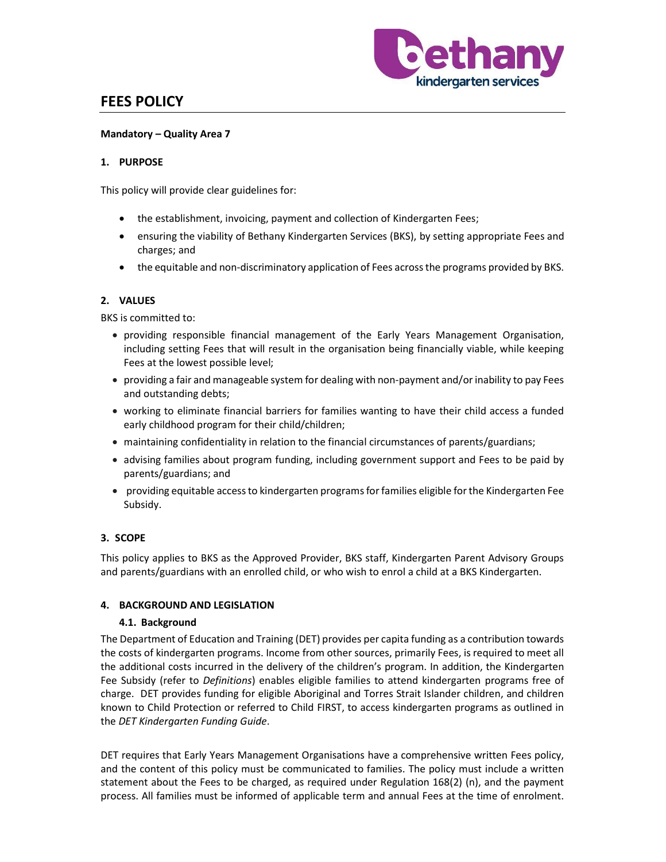

# FEES POLICY

### Mandatory – Quality Area 7

## 1. PURPOSE

This policy will provide clear guidelines for:

- the establishment, invoicing, payment and collection of Kindergarten Fees;
- ensuring the viability of Bethany Kindergarten Services (BKS), by setting appropriate Fees and charges; and
- the equitable and non-discriminatory application of Fees across the programs provided by BKS.

## 2. VALUES

BKS is committed to:

- providing responsible financial management of the Early Years Management Organisation, including setting Fees that will result in the organisation being financially viable, while keeping Fees at the lowest possible level;
- providing a fair and manageable system for dealing with non-payment and/or inability to pay Fees and outstanding debts;
- working to eliminate financial barriers for families wanting to have their child access a funded early childhood program for their child/children;
- maintaining confidentiality in relation to the financial circumstances of parents/guardians;
- advising families about program funding, including government support and Fees to be paid by parents/guardians; and
- providing equitable access to kindergarten programs for families eligible for the Kindergarten Fee Subsidy.

# 3. SCOPE

This policy applies to BKS as the Approved Provider, BKS staff, Kindergarten Parent Advisory Groups and parents/guardians with an enrolled child, or who wish to enrol a child at a BKS Kindergarten.

#### 4. BACKGROUND AND LEGISLATION

#### 4.1. Background

The Department of Education and Training (DET) provides per capita funding as a contribution towards the costs of kindergarten programs. Income from other sources, primarily Fees, is required to meet all the additional costs incurred in the delivery of the children's program. In addition, the Kindergarten Fee Subsidy (refer to *Definitions*) enables eligible families to attend kindergarten programs free of charge. DET provides funding for eligible Aboriginal and Torres Strait Islander children, and children known to Child Protection or referred to Child FIRST, to access kindergarten programs as outlined in the DET Kindergarten Funding Guide.

DET requires that Early Years Management Organisations have a comprehensive written Fees policy, and the content of this policy must be communicated to families. The policy must include a written statement about the Fees to be charged, as required under Regulation 168(2) (n), and the payment process. All families must be informed of applicable term and annual Fees at the time of enrolment.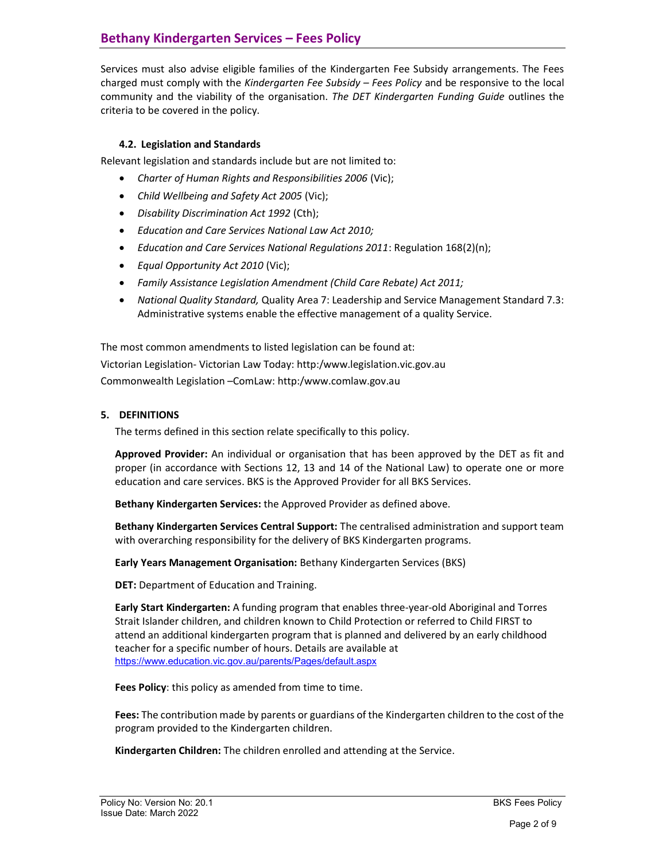Services must also advise eligible families of the Kindergarten Fee Subsidy arrangements. The Fees charged must comply with the Kindergarten Fee Subsidy – Fees Policy and be responsive to the local community and the viability of the organisation. The DET Kindergarten Funding Guide outlines the criteria to be covered in the policy.

# 4.2. Legislation and Standards

Relevant legislation and standards include but are not limited to:

- Charter of Human Rights and Responsibilities 2006 (Vic);
- Child Wellbeing and Safety Act 2005 (Vic);
- Disability Discrimination Act 1992 (Cth);
- Education and Care Services National Law Act 2010;
- Education and Care Services National Regulations 2011: Regulation 168(2)(n);
- Equal Opportunity Act 2010 (Vic);
- Family Assistance Legislation Amendment (Child Care Rebate) Act 2011;
- National Quality Standard, Quality Area 7: Leadership and Service Management Standard 7.3: Administrative systems enable the effective management of a quality Service.

The most common amendments to listed legislation can be found at: Victorian Legislation- Victorian Law Today: http:/www.legislation.vic.gov.au Commonwealth Legislation –ComLaw: http:/www.comlaw.gov.au

# 5. DEFINITIONS

The terms defined in this section relate specifically to this policy.

Approved Provider: An individual or organisation that has been approved by the DET as fit and proper (in accordance with Sections 12, 13 and 14 of the National Law) to operate one or more education and care services. BKS is the Approved Provider for all BKS Services.

Bethany Kindergarten Services: the Approved Provider as defined above.

Bethany Kindergarten Services Central Support: The centralised administration and support team with overarching responsibility for the delivery of BKS Kindergarten programs.

Early Years Management Organisation: Bethany Kindergarten Services (BKS)

DET: Department of Education and Training.

Early Start Kindergarten: A funding program that enables three-year-old Aboriginal and Torres Strait Islander children, and children known to Child Protection or referred to Child FIRST to attend an additional kindergarten program that is planned and delivered by an early childhood teacher for a specific number of hours. Details are available at https://www.education.vic.gov.au/parents/Pages/default.aspx

Fees Policy: this policy as amended from time to time.

Fees: The contribution made by parents or guardians of the Kindergarten children to the cost of the program provided to the Kindergarten children.

Kindergarten Children: The children enrolled and attending at the Service.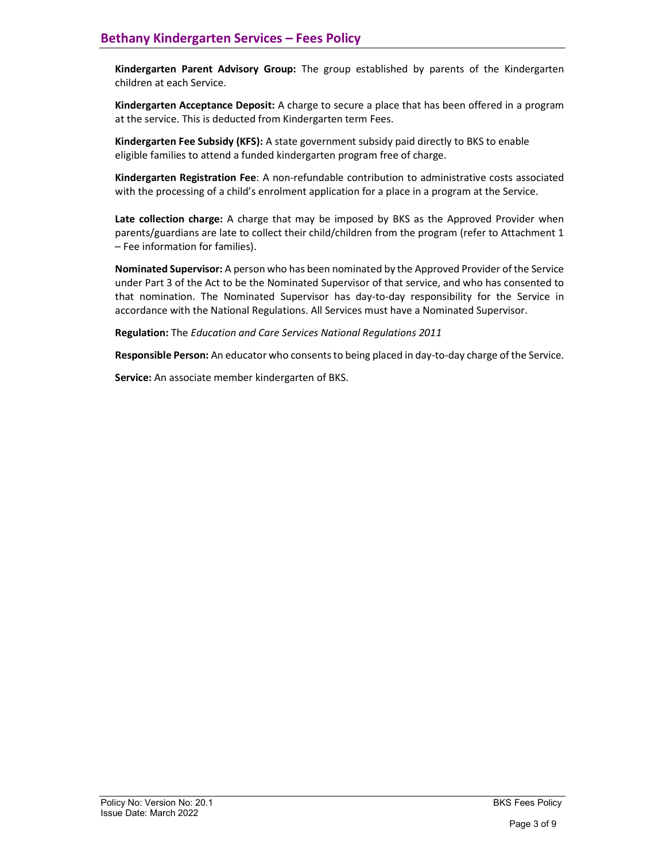Kindergarten Parent Advisory Group: The group established by parents of the Kindergarten children at each Service.

Kindergarten Acceptance Deposit: A charge to secure a place that has been offered in a program at the service. This is deducted from Kindergarten term Fees.

Kindergarten Fee Subsidy (KFS): A state government subsidy paid directly to BKS to enable eligible families to attend a funded kindergarten program free of charge.

Kindergarten Registration Fee: A non-refundable contribution to administrative costs associated with the processing of a child's enrolment application for a place in a program at the Service.

Late collection charge: A charge that may be imposed by BKS as the Approved Provider when parents/guardians are late to collect their child/children from the program (refer to Attachment 1 – Fee information for families).

Nominated Supervisor: A person who has been nominated by the Approved Provider of the Service under Part 3 of the Act to be the Nominated Supervisor of that service, and who has consented to that nomination. The Nominated Supervisor has day-to-day responsibility for the Service in accordance with the National Regulations. All Services must have a Nominated Supervisor.

Regulation: The Education and Care Services National Regulations 2011

Responsible Person: An educator who consents to being placed in day-to-day charge of the Service.

Service: An associate member kindergarten of BKS.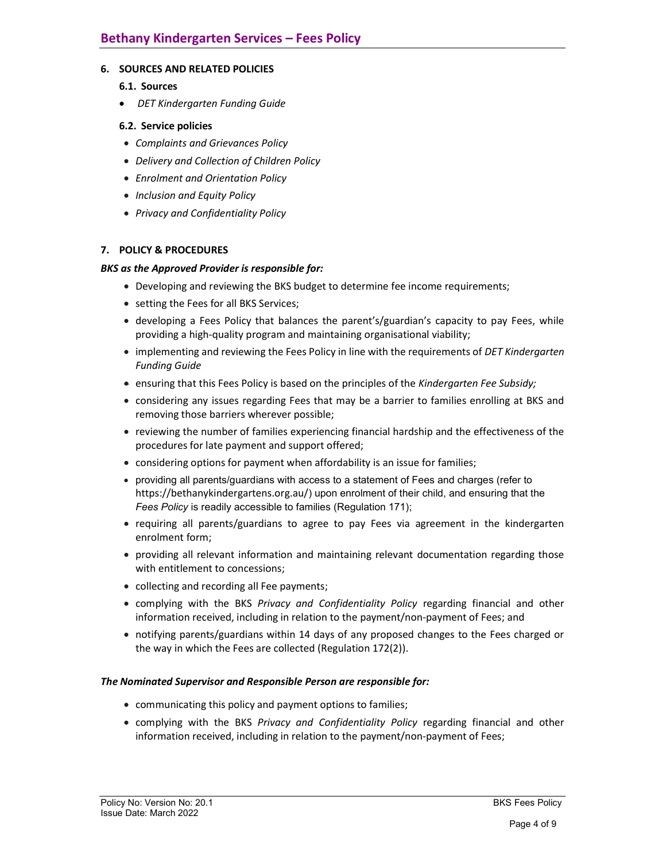## 6. SOURCES AND RELATED POLICIES

- 6.1. Sources
- DET Kindergarten Funding Guide

### 6.2. Service policies

- Complaints and Grievances Policy
- Delivery and Collection of Children Policy
- Enrolment and Orientation Policy
- Inclusion and Equity Policy
- Privacy and Confidentiality Policy

## 7. POLICY & PROCEDURES

#### BKS as the Approved Provider is responsible for:

- Developing and reviewing the BKS budget to determine fee income requirements;
- setting the Fees for all BKS Services;
- developing a Fees Policy that balances the parent's/guardian's capacity to pay Fees, while providing a high-quality program and maintaining organisational viability;
- implementing and reviewing the Fees Policy in line with the requirements of DET Kindergarten Funding Guide
- **ensuring that this Fees Policy is based on the principles of the Kindergarten Fee Subsidy;**
- considering any issues regarding Fees that may be a barrier to families enrolling at BKS and removing those barriers wherever possible;
- reviewing the number of families experiencing financial hardship and the effectiveness of the procedures for late payment and support offered;
- considering options for payment when affordability is an issue for families;
- providing all parents/guardians with access to a statement of Fees and charges (refer to https://bethanykindergartens.org.au/) upon enrolment of their child, and ensuring that the Fees Policy is readily accessible to families (Regulation 171);
- requiring all parents/guardians to agree to pay Fees via agreement in the kindergarten enrolment form;
- providing all relevant information and maintaining relevant documentation regarding those with entitlement to concessions;
- collecting and recording all Fee payments;
- complying with the BKS Privacy and Confidentiality Policy regarding financial and other information received, including in relation to the payment/non-payment of Fees; and
- notifying parents/guardians within 14 days of any proposed changes to the Fees charged or the way in which the Fees are collected (Regulation 172(2)).

#### The Nominated Supervisor and Responsible Person are responsible for:

- communicating this policy and payment options to families;
- complying with the BKS Privacy and Confidentiality Policy regarding financial and other information received, including in relation to the payment/non-payment of Fees;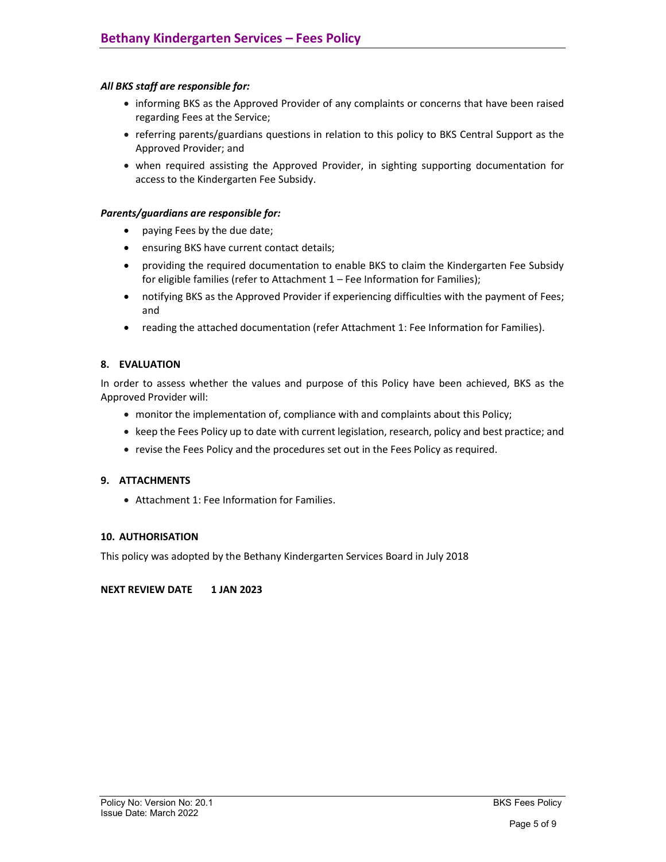## All BKS staff are responsible for:

- informing BKS as the Approved Provider of any complaints or concerns that have been raised regarding Fees at the Service;
- referring parents/guardians questions in relation to this policy to BKS Central Support as the Approved Provider; and
- when required assisting the Approved Provider, in sighting supporting documentation for access to the Kindergarten Fee Subsidy.

#### Parents/guardians are responsible for:

- paying Fees by the due date;
- ensuring BKS have current contact details;
- providing the required documentation to enable BKS to claim the Kindergarten Fee Subsidy for eligible families (refer to Attachment 1 – Fee Information for Families);
- notifying BKS as the Approved Provider if experiencing difficulties with the payment of Fees; and
- reading the attached documentation (refer Attachment 1: Fee Information for Families).

## 8. EVALUATION

In order to assess whether the values and purpose of this Policy have been achieved, BKS as the Approved Provider will:

- monitor the implementation of, compliance with and complaints about this Policy;
- keep the Fees Policy up to date with current legislation, research, policy and best practice; and
- revise the Fees Policy and the procedures set out in the Fees Policy as required.

#### 9. ATTACHMENTS

Attachment 1: Fee Information for Families.

#### 10. AUTHORISATION

This policy was adopted by the Bethany Kindergarten Services Board in July 2018

#### NEXT REVIEW DATE 1 JAN 2023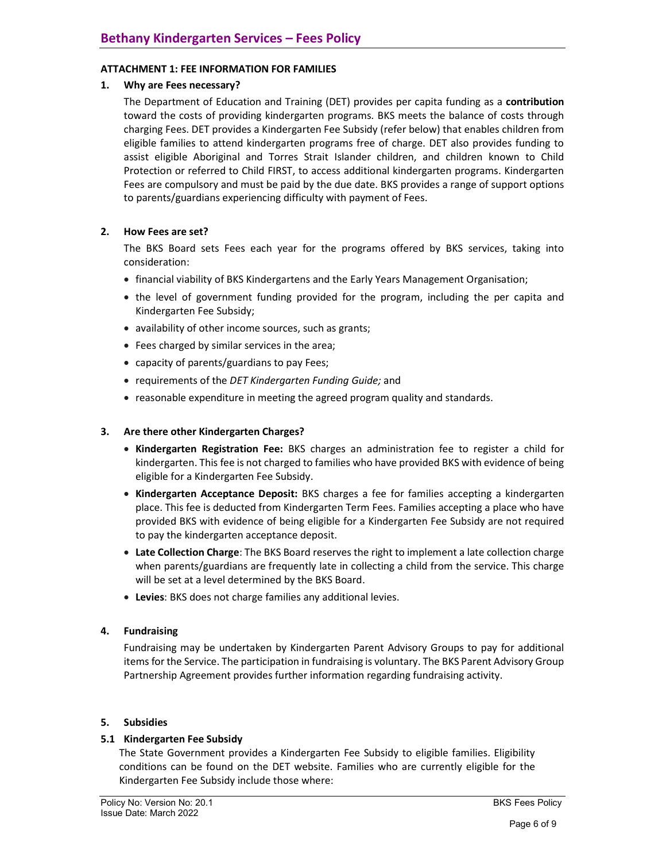## ATTACHMENT 1: FEE INFORMATION FOR FAMILIES

## 1. Why are Fees necessary?

The Department of Education and Training (DET) provides per capita funding as a contribution toward the costs of providing kindergarten programs. BKS meets the balance of costs through charging Fees. DET provides a Kindergarten Fee Subsidy (refer below) that enables children from eligible families to attend kindergarten programs free of charge. DET also provides funding to assist eligible Aboriginal and Torres Strait Islander children, and children known to Child Protection or referred to Child FIRST, to access additional kindergarten programs. Kindergarten Fees are compulsory and must be paid by the due date. BKS provides a range of support options to parents/guardians experiencing difficulty with payment of Fees.

# 2. How Fees are set?

The BKS Board sets Fees each year for the programs offered by BKS services, taking into consideration:

- financial viability of BKS Kindergartens and the Early Years Management Organisation;
- the level of government funding provided for the program, including the per capita and Kindergarten Fee Subsidy;
- availability of other income sources, such as grants;
- Fees charged by similar services in the area;
- capacity of parents/guardians to pay Fees;
- requirements of the DET Kindergarten Funding Guide; and
- reasonable expenditure in meeting the agreed program quality and standards.

## 3. Are there other Kindergarten Charges?

- Kindergarten Registration Fee: BKS charges an administration fee to register a child for kindergarten. This fee is not charged to families who have provided BKS with evidence of being eligible for a Kindergarten Fee Subsidy.
- Kindergarten Acceptance Deposit: BKS charges a fee for families accepting a kindergarten place. This fee is deducted from Kindergarten Term Fees. Families accepting a place who have provided BKS with evidence of being eligible for a Kindergarten Fee Subsidy are not required to pay the kindergarten acceptance deposit.
- Late Collection Charge: The BKS Board reserves the right to implement a late collection charge when parents/guardians are frequently late in collecting a child from the service. This charge will be set at a level determined by the BKS Board.
- Levies: BKS does not charge families any additional levies.

#### 4. Fundraising

Fundraising may be undertaken by Kindergarten Parent Advisory Groups to pay for additional items for the Service. The participation in fundraising is voluntary. The BKS Parent Advisory Group Partnership Agreement provides further information regarding fundraising activity.

#### 5. Subsidies

#### 5.1 Kindergarten Fee Subsidy

The State Government provides a Kindergarten Fee Subsidy to eligible families. Eligibility conditions can be found on the DET website. Families who are currently eligible for the Kindergarten Fee Subsidy include those where: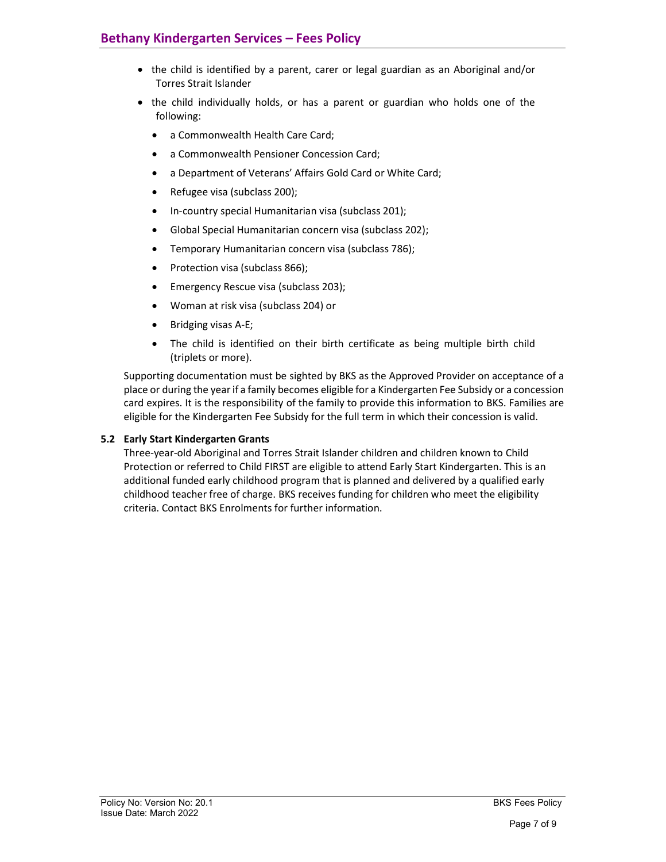- the child is identified by a parent, carer or legal guardian as an Aboriginal and/or Torres Strait Islander
- the child individually holds, or has a parent or guardian who holds one of the following:
	- a Commonwealth Health Care Card;
	- a Commonwealth Pensioner Concession Card;
	- a Department of Veterans' Affairs Gold Card or White Card;
	- Refugee visa (subclass 200);
	- In-country special Humanitarian visa (subclass 201);
	- Global Special Humanitarian concern visa (subclass 202);
	- Temporary Humanitarian concern visa (subclass 786);
	- Protection visa (subclass 866);
	- Emergency Rescue visa (subclass 203);
	- Woman at risk visa (subclass 204) or
	- Bridging visas A-E;
	- The child is identified on their birth certificate as being multiple birth child (triplets or more).

Supporting documentation must be sighted by BKS as the Approved Provider on acceptance of a place or during the year if a family becomes eligible for a Kindergarten Fee Subsidy or a concession card expires. It is the responsibility of the family to provide this information to BKS. Families are eligible for the Kindergarten Fee Subsidy for the full term in which their concession is valid.

# 5.2 Early Start Kindergarten Grants

Three-year-old Aboriginal and Torres Strait Islander children and children known to Child Protection or referred to Child FIRST are eligible to attend Early Start Kindergarten. This is an additional funded early childhood program that is planned and delivered by a qualified early childhood teacher free of charge. BKS receives funding for children who meet the eligibility criteria. Contact BKS Enrolments for further information.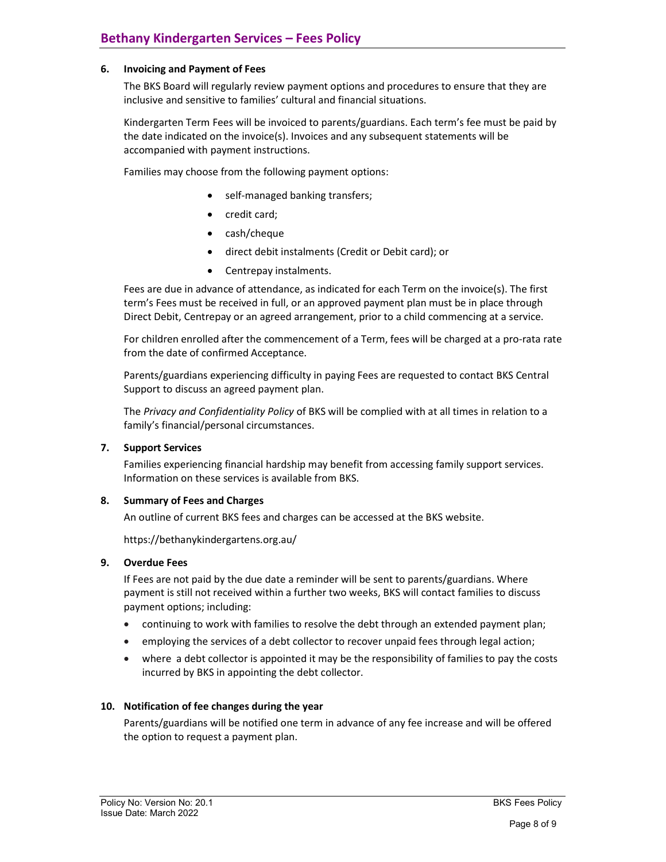## 6. Invoicing and Payment of Fees

The BKS Board will regularly review payment options and procedures to ensure that they are inclusive and sensitive to families' cultural and financial situations.

Kindergarten Term Fees will be invoiced to parents/guardians. Each term's fee must be paid by the date indicated on the invoice(s). Invoices and any subsequent statements will be accompanied with payment instructions.

Families may choose from the following payment options:

- self-managed banking transfers;
- credit card;
- cash/cheque
- direct debit instalments (Credit or Debit card); or
- Centrepay instalments.

Fees are due in advance of attendance, as indicated for each Term on the invoice(s). The first term's Fees must be received in full, or an approved payment plan must be in place through Direct Debit, Centrepay or an agreed arrangement, prior to a child commencing at a service.

For children enrolled after the commencement of a Term, fees will be charged at a pro-rata rate from the date of confirmed Acceptance.

Parents/guardians experiencing difficulty in paying Fees are requested to contact BKS Central Support to discuss an agreed payment plan.

The Privacy and Confidentiality Policy of BKS will be complied with at all times in relation to a family's financial/personal circumstances.

#### 7. Support Services

Families experiencing financial hardship may benefit from accessing family support services. Information on these services is available from BKS.

#### 8. Summary of Fees and Charges

An outline of current BKS fees and charges can be accessed at the BKS website.

https://bethanykindergartens.org.au/

#### 9. Overdue Fees

If Fees are not paid by the due date a reminder will be sent to parents/guardians. Where payment is still not received within a further two weeks, BKS will contact families to discuss payment options; including:

- continuing to work with families to resolve the debt through an extended payment plan;
- employing the services of a debt collector to recover unpaid fees through legal action;
- where a debt collector is appointed it may be the responsibility of families to pay the costs incurred by BKS in appointing the debt collector.

#### 10. Notification of fee changes during the year

Parents/guardians will be notified one term in advance of any fee increase and will be offered the option to request a payment plan.